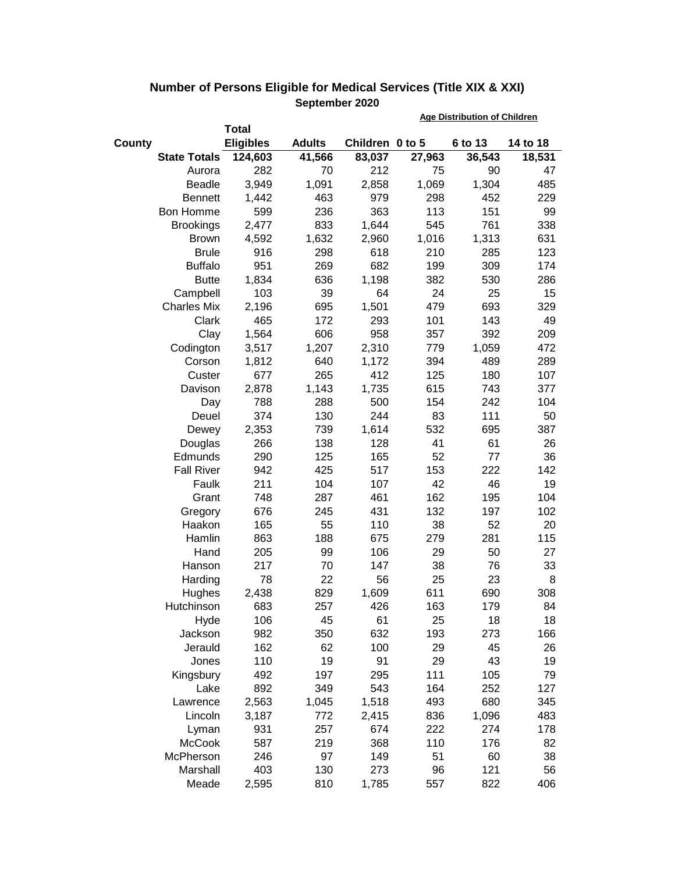|        |                     |                  |               |                 | <b>Age Distribution of Children</b> |         |          |  |
|--------|---------------------|------------------|---------------|-----------------|-------------------------------------|---------|----------|--|
|        |                     | <b>Total</b>     |               |                 |                                     |         |          |  |
| County |                     | <b>Eligibles</b> | <b>Adults</b> | Children 0 to 5 |                                     | 6 to 13 | 14 to 18 |  |
|        | <b>State Totals</b> | 124,603          | 41,566        | 83,037          | 27,963                              | 36,543  | 18,531   |  |
|        | Aurora              | 282              | 70            | 212             | 75                                  | 90      | 47       |  |
|        | <b>Beadle</b>       | 3,949            | 1,091         | 2,858           | 1,069                               | 1,304   | 485      |  |
|        | <b>Bennett</b>      | 1,442            | 463           | 979             | 298                                 | 452     | 229      |  |
|        | Bon Homme           | 599              | 236           | 363             | 113                                 | 151     | 99       |  |
|        | <b>Brookings</b>    | 2,477            | 833           | 1,644           | 545                                 | 761     | 338      |  |
|        | <b>Brown</b>        | 4,592            | 1,632         | 2,960           | 1,016                               | 1,313   | 631      |  |
|        | <b>Brule</b>        | 916              | 298           | 618             | 210                                 | 285     | 123      |  |
|        | <b>Buffalo</b>      | 951              | 269           | 682             | 199                                 | 309     | 174      |  |
|        | <b>Butte</b>        | 1,834            | 636           | 1,198           | 382                                 | 530     | 286      |  |
|        | Campbell            | 103              | 39            | 64              | 24                                  | 25      | 15       |  |
|        | <b>Charles Mix</b>  | 2,196            | 695           | 1,501           | 479                                 | 693     | 329      |  |
|        | Clark               | 465              | 172           | 293             | 101                                 | 143     | 49       |  |
|        | Clay                | 1,564            | 606           | 958             | 357                                 | 392     | 209      |  |
|        | Codington           | 3,517            | 1,207         | 2,310           | 779                                 | 1,059   | 472      |  |
|        | Corson              | 1,812            | 640           | 1,172           | 394                                 | 489     | 289      |  |
|        | Custer              | 677              | 265           | 412             | 125                                 | 180     | 107      |  |
|        | Davison             | 2,878            | 1,143         | 1,735           | 615                                 | 743     | 377      |  |
|        | Day                 | 788              | 288           | 500             | 154                                 | 242     | 104      |  |
|        | Deuel               | 374              | 130           | 244             | 83                                  | 111     | 50       |  |
|        | Dewey               | 2,353            | 739           | 1,614           | 532                                 | 695     | 387      |  |
|        | Douglas             | 266              | 138           | 128             | 41                                  | 61      | 26       |  |
|        | Edmunds             | 290              | 125           | 165             | 52                                  | 77      | 36       |  |
|        | <b>Fall River</b>   | 942              | 425           | 517             | 153                                 | 222     | 142      |  |
|        | Faulk               | 211              | 104           | 107             | 42                                  | 46      | 19       |  |
|        | Grant               | 748              | 287           | 461             | 162                                 | 195     | 104      |  |
|        | Gregory             | 676              | 245           | 431             | 132                                 | 197     | 102      |  |
|        | Haakon              | 165              | 55            | 110             | 38                                  | 52      | 20       |  |
|        | Hamlin              | 863              | 188           | 675             | 279                                 | 281     | 115      |  |
|        | Hand                | 205              | 99            | 106             | 29                                  | 50      | 27       |  |
|        | Hanson              | 217              | 70            | 147             | 38                                  | 76      | 33       |  |
|        | Harding             | 78               | 22            | 56              | 25                                  | 23      | 8        |  |
|        | Hughes              | 2,438            | 829           | 1,609           | 611                                 | 690     | 308      |  |
|        | Hutchinson          | 683              | 257           | 426             | 163                                 | 179     | 84       |  |
|        | Hyde                | 106              | 45            | 61              | 25                                  | 18      | 18       |  |
|        | Jackson             | 982              | 350           | 632             | 193                                 | 273     | 166      |  |
|        | Jerauld             | 162              | 62            | 100             | 29                                  | 45      | 26       |  |
|        | Jones               | 110              | 19            | 91              | 29                                  | 43      | 19       |  |
|        | Kingsbury           | 492              | 197           | 295             | 111                                 | 105     | 79       |  |
|        | Lake                | 892              | 349           | 543             | 164                                 | 252     | 127      |  |
|        | Lawrence            | 2,563            | 1,045         | 1,518           | 493                                 | 680     | 345      |  |
|        | Lincoln             | 3,187            | 772           | 2,415           | 836                                 | 1,096   | 483      |  |
|        | Lyman               | 931              | 257           | 674             | 222                                 | 274     | 178      |  |
|        | <b>McCook</b>       | 587              | 219           | 368             | 110                                 | 176     | 82       |  |
|        | McPherson           | 246              | 97            | 149             | 51                                  | 60      | 38       |  |
|        | Marshall            | 403              | 130           | 273             | 96                                  | 121     | 56       |  |
|        | Meade               | 2,595            | 810           | 1,785           | 557                                 | 822     | 406      |  |

## **Number of Persons Eligible for Medical Services (Title XIX & XXI) September 2020**